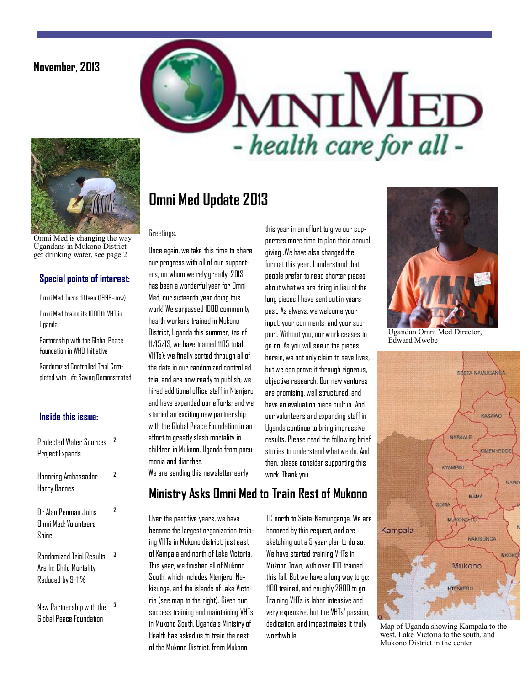**November, 2013**

# MNIMED Microsoft - health care for all -

this year in an effort to give our supporters more time to plan their annual giving .We have also changed the format this year. I understand that people prefer to read shorter pieces about what we are doing in lieu of the long pieces I have sent out in years past. As always, we welcome your input, your comments, and your support. Without you, our work ceases to go on. As you will see in the pieces herein, we not only claim to save lives, but we can prove it through rigorous, objective research. Our new ventures are promising, well structured, and have an evaluation piece built in. And our volunteers and expanding staff in Uganda continue to bring impressive results. Please read the following brief stories to understand what we do. And then, please consider supporting this



Omni Med is changing the way Ugandans in Mukono District get drinking water, see page 2

#### **Special points of interest:**

Omni Med Turns fifteen (1998-now)

Omni Med trains its 1000th VHT in Uganda

Partnership with the Global Peace Foundation in WHO Initiative

Randomized Controlled Trial Completed with Life Saving Demonstrated

#### **Inside this issue:**

| Protected Water Sources<br>Project Expands                              | 7 |
|-------------------------------------------------------------------------|---|
| Honoring Ambassador<br>Harry Barnes                                     | 7 |
| Dr Alan Penman Joins<br>Omni Med: Volunteers<br>Shine                   | 7 |
| Randomized Trial Results<br>Are In: Child Mortality<br>Reduced by 9-11% | З |

New Partnership with the **3** Global Peace Foundation

## **Omni Med Update 2013**

**Omni Med Update 2013**

#### Greetings,

Once again, we take this time to share our progress with all of our supporters, on whom we rely greatly. 2013 has been a wonderful year for Omni Med, our sixteenth year doing this work! We surpassed 1000 community health workers trained in Mukono District, Uganda this summer; (as of 11/15/13, we have trained 1105 total VHTs); we finally sorted through all of the data in our randomized controlled trial and are now ready to publish; we hired additional office staff in Ntenjeru and have expanded our efforts; and we started an exciting new partnership with the Global Peace Foundation in an effort to greatly slash mortality in children in Mukono, Uganda from pneumonia and diarrhea.

We are sending this newsletter early

## **Ministry Asks Omni Med to Train Rest of Mukono**

work. Thank you.

Over the past five years, we have become the largest organization training VHTs in Mukono district, just east of Kampala and north of Lake Victoria. This year, we finished all of Mukono South, which includes Ntenjeru, Nakisunga, and the islands of Lake Victoria (see map to the right). Given our success training and maintaining VHTs in Mukono South, Uganda's Ministry of Health has asked us to train the rest of the Mukono District, from Mukono

TC north to Sieta-Namunganga. We are honored by this request, and are sketching out a 5 year plan to do so. We have started training VHTs in Mukono Town, with over 100 trained this fall. But we have a long way to go: 1100 trained, and roughly 2800 to go. Training VHTs is labor intensive and very expensive, but the VHTs' passion, dedication, and impact makes it truly wnrthwhile.



Ugandan Omni Med Director, Edward Mwebe



Map of Uganda showing Kampala to the west, Lake Victoria to the south, and Mukono District in the center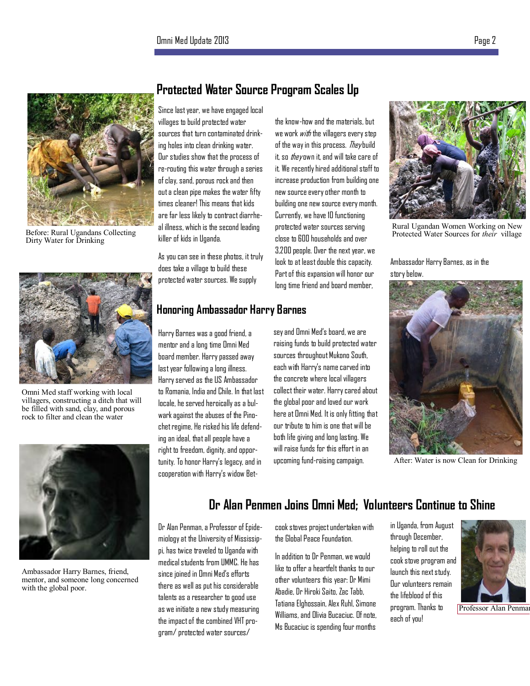

Before: Rural Ugandans Collecting Dirty Water for Drinking



Omni Med staff working with local villagers, constructing a ditch that will be filled with sand, clay, and porous rock to filter and clean the water



Ambassador Harry Barnes, friend, mentor, and someone long concerned with the global poor.

#### **Protected Water Source Program Scales Up**

Since last year, we have engaged local villages to build protected water sources that turn contaminated drinking holes into clean drinking water. Our studies show that the process of re-routing this water through a series of clay, sand, porous rock and then out a clean pipe makes the water fifty times cleaner! This means that kids are far less likely to contract diarrheal illness, which is the second leading killer of kids in Uganda.

As you can see in these photos, it truly does take a village to build these protected water sources. We supply

the know-how and the materials, but we work  $with$  the villagers every step of the way in this process. They build it, so  $\hbar e$ y own it, and will take care of it. We recently hired additional staff to increase production from building one new source every other month to building one new source every month. Currently, we have 10 functioning protected water sources serving close to 600 households and over 3,200 people. Over the next year, we look to at least double this capacity. Part of this expansion will honor our long time friend and board member,



Rural Ugandan Women Working on New Protected Water Sources for *their* village

Ambassador Harry Barnes, as in the story below.



After: Water is now Clean for Drinking

#### **Honoring Ambassador Harry Barnes**

Harry Barnes was a good friend, a mentor and a long time Omni Med board member. Harry passed away last year following a long illness. Harry served as the US Ambassador to Romania, India and Chile. In that last locale, he served heroically as a bulwark against the abuses of the Pinochet regime, He risked his life defending an ideal, that all people have a right to freedom, dignity, and opportunity. To honor Harry's legacy, and in cooperation with Harry's widow Betsey and Omni Med's board, we are raising funds to build protected water sources throughout Mukono South, each with Harry's name carved into the concrete where local villagers collect their water. Harry cared about the global poor and loved our work here at Omni Med. It is only fitting that our tribute to him is one that will be both life giving and long lasting. We will raise funds for this effort in an upcoming fund-raising campaign.

## **Dr Alan Penmen Joins Omni Med; Volunteers Continue to Shine**

Dr Alan Penman, a Professor of Epidemiology at the University of Mississippi, has twice traveled to Uganda with medical students from UMMC. He has since joined in Omni Med's efforts there as well as put his considerable talents as a researcher to good use as we initiate a new study measuring the impact of the combined VHT program/ protected water sources/

cook stoves project undertaken with the Global Peace Foundation.

In addition to Dr Penman, we would like to offer a heartfelt thanks to our other volunteers this year: Dr Mimi Abadie, Dr Hiroki Saito, Zac Tabb, Tatiana Elghossain, Alex Ruhl, Simone Williams, and Olivia Bucaciuc. Of note, Ms Bucaciuc is spending four months in Uganda, from August through December, helping to roll out the cook stove program and launch this next study. Our volunteers remain the lifeblood of this program. Thanks to each of you!



Professor Alan Penman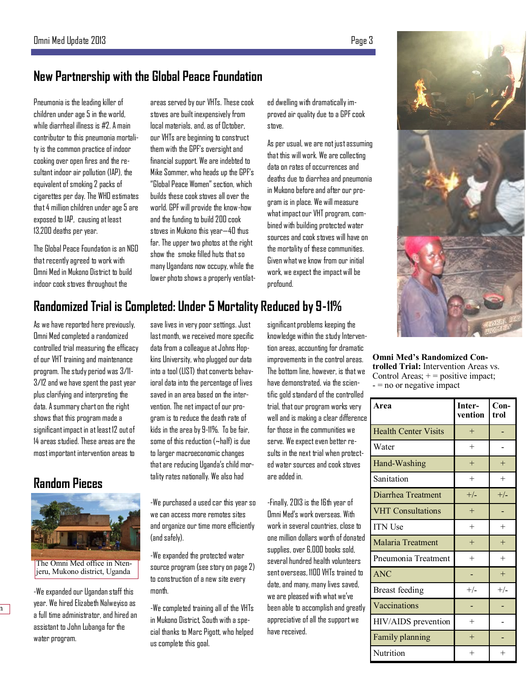#### **New Partnership with the Global Peace Foundation**

Pneumonia is the leading killer of children under age 5 in the world, while diarrheal illness is #2. A main contributor to this pneumonia mortality is the common practice of indoor cooking over open fires and the resultant indoor air pollution (IAP), the equivalent of smoking 2 packs of cigarettes per day. The WHO estimates that 4 million children under age 5 are exposed to IAP, causing at least 13,200 deaths per year.

The Global Peace Foundation is an NGO that recently agreed to work with Omni Med in Mukono District to build indoor cook stoves throughout the

areas served by our VHTs. These cook stoves are built inexpensively from local materials, and, as of October, our VHTs are beginning to construct them with the GPF's oversight and financial support. We are indebted to Mike Sommer, who heads up the GPF's "Global Peace Women" section, which builds these cook stoves all over the world. GPF will provide the know-how and the funding to build 200 cook stoves in Mukono this year—40 thus far. The upper two photos at the right show the smoke filled huts that so many Ugandans now occupy, while the lower photo shows a properly ventilated dwelling with dramatically improved air quality due to a GPF cook stove.

As per usual, we are not just assuming that this will work. We are collecting data on rates of occurrences and deaths due to diarrhea and pneumonia in Mukono before and after our program is in place. We will measure what impact our VHT program, combined with building protected water sources and cook stoves will have on the mortality of these communities. Given what we know from our initial work, we expect the impact will be profound.



**Omni Med's Randomized Controlled Trial:** Intervention Areas vs. Control Areas;  $+$  = positive impact;  $-$  = no or negative impact

| Area                        | Inter-<br>vention | $Con-$<br>trol |
|-----------------------------|-------------------|----------------|
| <b>Health Center Visits</b> | $+$               |                |
| Water                       | $^{+}$            |                |
| Hand-Washing                | $+$               | $+$            |
| Sanitation                  | $^{+}$            | $+$            |
| Diarrhea Treatment          | $+/-$             | $+/-$          |
| <b>VHT Consultations</b>    | $+$               |                |
| <b>ITN</b> Use              | $^{+}$            | $^{+}$         |
| <b>Malaria Treatment</b>    | $+$               | $+$            |
| Pneumonia Treatment         | $^{+}$            | $^{+}$         |
| <b>ANC</b>                  |                   | $+$            |
| <b>Breast</b> feeding       | $+/-$             | $+/-$          |
| Vaccinations                |                   |                |
| HIV/AIDS prevention         | $^+$              |                |
| Family planning             | $+$               |                |
| Nutrition                   | $^{+}$            | $^{+}$         |

## **Randomized Trial is Completed: Under 5 Mortality Reduced by 9-11%**

As we have reported here previously, Omni Med completed a randomized controlled trial measuring the efficacy of our VHT training and maintenance program. The study period was 3/11- 3/12 and we have spent the past year plus clarifying and interpreting the data. A summary chart on the right shows that this program made a significant impact in at least 12 out of 14 areas studied. These areas are the most important intervention areas to

## **Random Pieces**



jeru, Mukono district, Uganda

-We expanded our Ugandan staff this year. We hired Elizabeth Nalweyiso as a full time administrator, and hired an assistant to John Lubanga for the water program.

 $\mathsf{n}$ 

save lives in very poor settings. Just last month, we received more specific data from a colleague at Johns Hopkins University, who plugged our data into a tool (LIST) that converts behavioral data into the percentage of lives saved in an area based on the intervention. The net impact of our program is to reduce the death rate of kids in the area by 9-11%. To be fair, some of this reduction (~half) is due to larger macroeconomic changes that are reducing Uganda's child mortality rates nationally. We also had

-We purchased a used car this year so we can access more remotes sites and organize our time more efficiently (and safely).

-We expanded the protected water source program (see story on page 2) to construction of a new site every month.

-We completed training all of the VHTs in Mukono District, South with a special thanks to Marc Pigott, who helped us complete this goal.

significant problems keeping the knowledge within the study Intervention areas, accounting for dramatic improvements in the control areas. The bottom line, however, is that we have demonstrated, via the scientific gold standard of the controlled trial, that our program works very well and is making a clear difference for those in the communities we serve. We expect even better results in the next trial when protected water sources and cook stoves are added in.

-Finally, 2013 is the 16th year of Omni Med's work overseas. With work in several countries, close to one million dollars worth of donated supplies, over 6,000 books sold, several hundred health volunteers sent overseas, 1100 VHTs trained to date, and many, many lives saved, we are pleased with what we've been able to accomplish and greatly appreciative of all the support we have received.